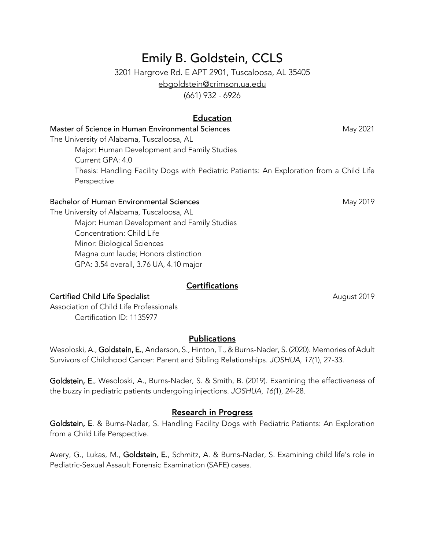# Emily B. Goldstein, CCLS

3201 Hargrove Rd. E APT 2901, Tuscaloosa, AL 35405 ebgoldstein@crimson.ua.edu

(661) 932 - 6926

# Education

# Master of Science in Human Environmental Sciences May 2021 The University of Alabama, Tuscaloosa, AL Major: Human Development and Family Studies Current GPA: 4.0 Thesis: Handling Facility Dogs with Pediatric Patients: An Exploration from a Child Life Perspective

#### Bachelor of Human Environmental Sciences May 2019

The University of Alabama, Tuscaloosa, AL Major: Human Development and Family Studies Concentration: Child Life Minor: Biological Sciences Magna cum laude; Honors distinction GPA: 3.54 overall, 3.76 UA, 4.10 major

#### **Certifications**

#### Certified Child Life Specialist August 2019

Association of Child Life Professionals Certification ID: 1135977

# Publications

Wesoloski, A., Goldstein, E., Anderson, S., Hinton, T., & Burns-Nader, S. (2020). Memories of Adult Survivors of Childhood Cancer: Parent and Sibling Relationships. *JOSHUA*, *17(*1), 27-33.

Goldstein, E., Wesoloski, A., Burns-Nader, S. & Smith, B. (2019). Examining the effectiveness of the buzzy in pediatric patients undergoing injections. *JOSHUA*, *16(*1), 24-28.

#### Research in Progress

Goldstein, E. & Burns-Nader, S. Handling Facility Dogs with Pediatric Patients: An Exploration from a Child Life Perspective.

Avery, G., Lukas, M., Goldstein, E., Schmitz, A. & Burns-Nader, S. Examining child life's role in Pediatric-Sexual Assault Forensic Examination (SAFE) cases.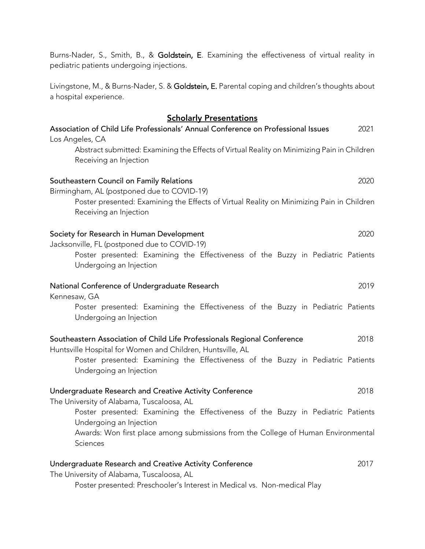| pediatric patients undergoing injections.                                                                                                                         |
|-------------------------------------------------------------------------------------------------------------------------------------------------------------------|
| Livingstone, M., & Burns-Nader, S. & Goldstein, E. Parental coping and children's thoughts about<br>a hospital experience.                                        |
| <b>Scholarly Presentations</b>                                                                                                                                    |
| Association of Child Life Professionals' Annual Conference on Professional Issues<br>2021                                                                         |
| Los Angeles, CA<br>Abstract submitted: Examining the Effects of Virtual Reality on Minimizing Pain in Children<br>Receiving an Injection                          |
| Southeastern Council on Family Relations<br>2020                                                                                                                  |
| Birmingham, AL (postponed due to COVID-19)<br>Poster presented: Examining the Effects of Virtual Reality on Minimizing Pain in Children<br>Receiving an Injection |
| Society for Research in Human Development<br>2020                                                                                                                 |
| Jacksonville, FL (postponed due to COVID-19)<br>Poster presented: Examining the Effectiveness of the Buzzy in Pediatric Patients<br>Undergoing an Injection       |
| 2019<br>National Conference of Undergraduate Research<br>Kennesaw, GA                                                                                             |
| Poster presented: Examining the Effectiveness of the Buzzy in Pediatric Patients<br>Undergoing an Injection                                                       |
| Southeastern Association of Child Life Professionals Regional Conference<br>2018<br>Huntsville Hospital for Women and Children, Huntsville, AL                    |
| Poster presented: Examining the Effectiveness of the Buzzy in Pediatric Patients<br>Undergoing an Injection                                                       |
| 2018<br>Undergraduate Research and Creative Activity Conference<br>The University of Alabama, Tuscaloosa, AL                                                      |
| Poster presented: Examining the Effectiveness of the Buzzy in Pediatric Patients<br>Undergoing an Injection                                                       |
| Awards: Won first place among submissions from the College of Human Environmental<br>Sciences                                                                     |
| Undergraduate Research and Creative Activity Conference<br>2017<br>The University of Alabama, Tuscaloosa, AL                                                      |
| Poster presented: Preschooler's Interest in Medical vs. Non-medical Play                                                                                          |

Burns-Nader, S., Smith, B., & Goldstein, E. Examining the effectiveness of virtual reality in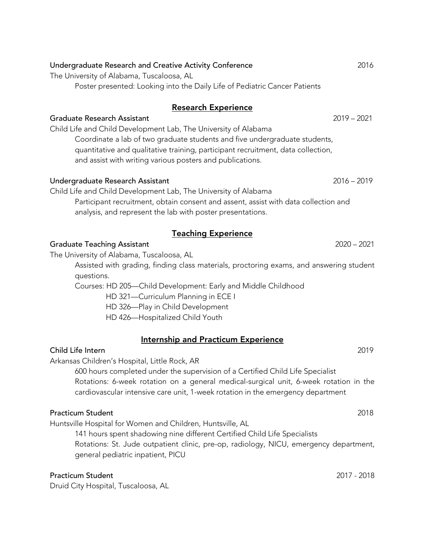Undergraduate Research Assistant 2016 – 2019

Teaching Experience

#### Graduate Teaching Assistant 2020 – 2021

The University of Alabama, Tuscaloosa, AL

Assisted with grading, finding class materials, proctoring exams, and answering student questions.

Courses: HD 205—Child Development: Early and Middle Childhood

HD 321—Curriculum Planning in ECE I

and assist with writing various posters and publications.

analysis, and represent the lab with poster presentations.

Child Life and Child Development Lab, The University of Alabama

HD 326—Play in Child Development

HD 426—Hospitalized Child Youth

Internship and Practicum Experience

# Child Life Intern 2019

Arkansas Children's Hospital, Little Rock, AR

600 hours completed under the supervision of a Certified Child Life Specialist Rotations: 6-week rotation on a general medical-surgical unit, 6-week rotation in the cardiovascular intensive care unit, 1-week rotation in the emergency department

# Practicum Student 2018

Huntsville Hospital for Women and Children, Huntsville, AL

141 hours spent shadowing nine different Certified Child Life Specialists

Rotations: St. Jude outpatient clinic, pre-op, radiology, NICU, emergency department, general pediatric inpatient, PICU

# Practicum Student 2017 - 2018

Druid City Hospital, Tuscaloosa, AL

#### Undergraduate Research and Creative Activity Conference 2016 The University of Alabama, Tuscaloosa, AL

Poster presented: Looking into the Daily Life of Pediatric Cancer Patients

### Research Experience

Coordinate a lab of two graduate students and five undergraduate students, quantitative and qualitative training, participant recruitment, data collection,

Graduate Research Assistant 2019 – 2021 Child Life and Child Development Lab, The University of Alabama

Participant recruitment, obtain consent and assent, assist with data collection and